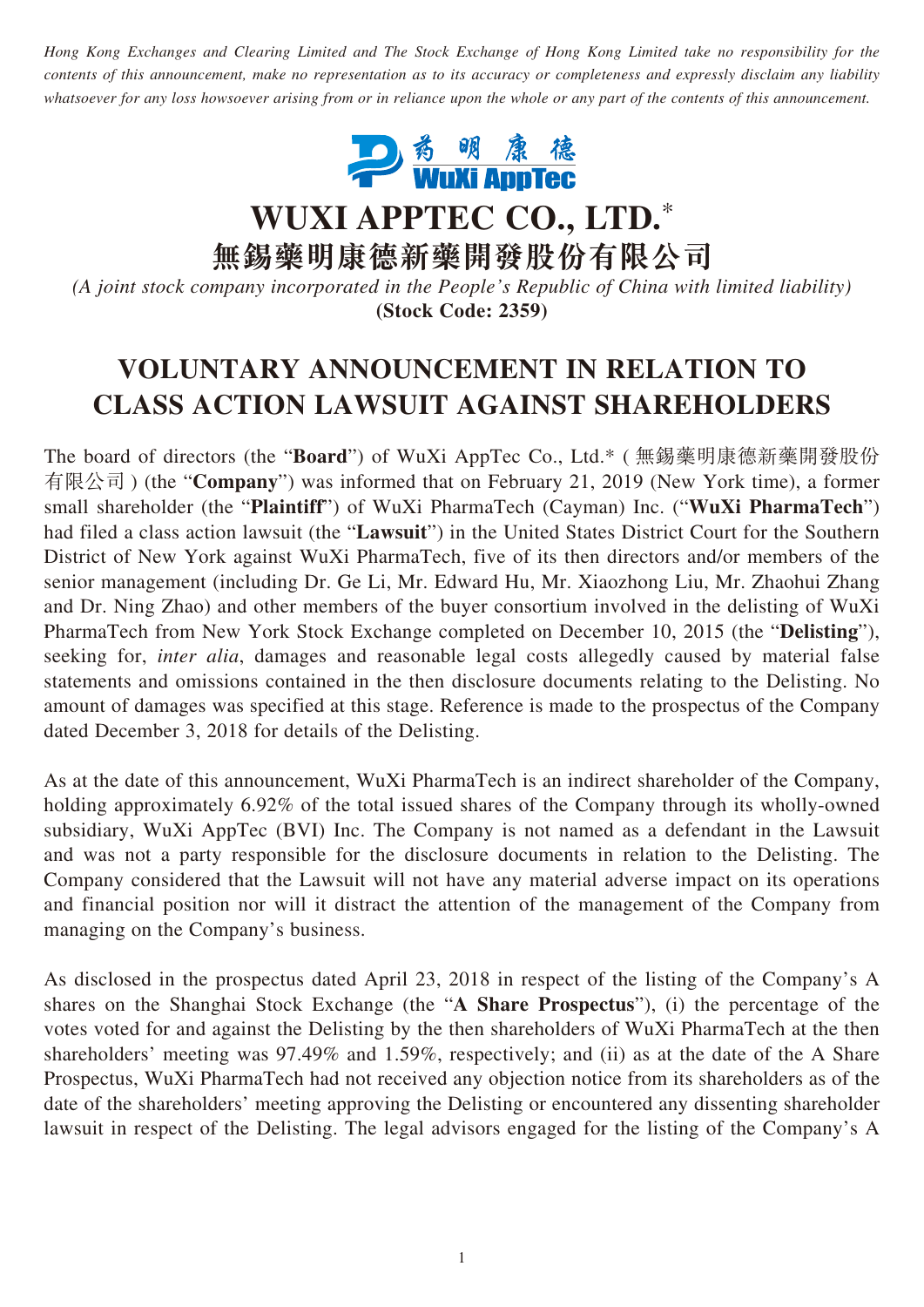*Hong Kong Exchanges and Clearing Limited and The Stock Exchange of Hong Kong Limited take no responsibility for the contents of this announcement, make no representation as to its accuracy or completeness and expressly disclaim any liability whatsoever for any loss howsoever arising from or in reliance upon the whole or any part of the contents of this announcement.*



**WUXI APPTEC CO., LTD.**\*

**無錫藥明康德新藥開發股份有限公司**

*(A joint stock company incorporated in the People's Republic of China with limited liability)* **(Stock Code: 2359)**

## **VOLUNTARY ANNOUNCEMENT IN RELATION TO CLASS ACTION LAWSUIT AGAINST SHAREHOLDERS**

The board of directors (the "**Board**") of WuXi AppTec Co., Ltd.\* ( 無錫藥明康德新藥開發股份 有限公司 ) (the "**Company**") was informed that on February 21, 2019 (New York time), a former small shareholder (the "**Plaintiff**") of WuXi PharmaTech (Cayman) Inc. ("**WuXi PharmaTech**") had filed a class action lawsuit (the "**Lawsuit**") in the United States District Court for the Southern District of New York against WuXi PharmaTech, five of its then directors and/or members of the senior management (including Dr. Ge Li, Mr. Edward Hu, Mr. Xiaozhong Liu, Mr. Zhaohui Zhang and Dr. Ning Zhao) and other members of the buyer consortium involved in the delisting of WuXi PharmaTech from New York Stock Exchange completed on December 10, 2015 (the "**Delisting**"), seeking for, *inter alia*, damages and reasonable legal costs allegedly caused by material false statements and omissions contained in the then disclosure documents relating to the Delisting. No amount of damages was specified at this stage. Reference is made to the prospectus of the Company dated December 3, 2018 for details of the Delisting.

As at the date of this announcement, WuXi PharmaTech is an indirect shareholder of the Company, holding approximately 6.92% of the total issued shares of the Company through its wholly-owned subsidiary, WuXi AppTec (BVI) Inc. The Company is not named as a defendant in the Lawsuit and was not a party responsible for the disclosure documents in relation to the Delisting. The Company considered that the Lawsuit will not have any material adverse impact on its operations and financial position nor will it distract the attention of the management of the Company from managing on the Company's business.

As disclosed in the prospectus dated April 23, 2018 in respect of the listing of the Company's A shares on the Shanghai Stock Exchange (the "**A Share Prospectus**"), (i) the percentage of the votes voted for and against the Delisting by the then shareholders of WuXi PharmaTech at the then shareholders' meeting was 97.49% and 1.59%, respectively; and (ii) as at the date of the A Share Prospectus, WuXi PharmaTech had not received any objection notice from its shareholders as of the date of the shareholders' meeting approving the Delisting or encountered any dissenting shareholder lawsuit in respect of the Delisting. The legal advisors engaged for the listing of the Company's A